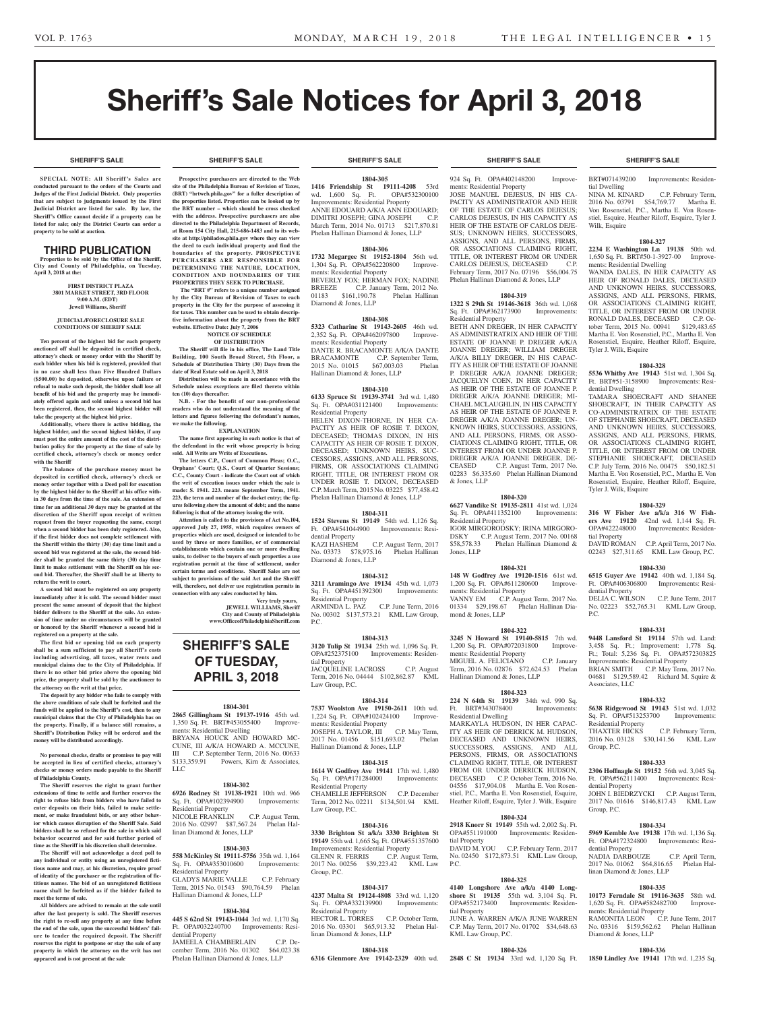**SHERIFF'S SALE SHERIFF'S SALE SHERIFF'S SALE SHERIFF'S SALE SHERIFF'S SALE**

# Sheriff's Sale Notices for April 3, 2018

#### **SHERIFF'S SALE SHERIFF'S SALE SHERIFF'S SALE SHERIFF'S SALE SHERIFF'S SALE**

**SPECIAL NOTE: All Sheriff 's Sales are conducted pursuant to the orders of the Courts and Judges of the First Judicial District. Only properties that are subject to judgments issued by the First Judicial District are listed for sale. By law, the Sheriff's Office cannot decide if a property can be listed for sale; only the District Courts can order a property to be sold at auction.** 

#### THIRD PUBLICATION

**Properties to be sold by the Office of the Sheriff, City and County of Philadelphia, on Tuesday, April 3, 2018 at the:** 

> **FIRST DISTRICT PLAZA 3801 MARKET STREET, 3RD FLOOR 9:00 A.M. (EDT) Jewell Williams, Sheriff**

#### **JUDICIAL/FORECLOSURE SALE CONDITIONS OF SHERIFF SALE**

**Ten percent of the highest bid for each property auctioned off shall be deposited in certified check, attorney's check or money order with the Sheriff by each bidder when his bid is registered, provided that in no case shall less than Five Hundred Dollars (\$500.00) be deposited, otherwise upon failure or refusal to make such deposit, the bidder shall lose all benefit of his bid and the property may be immediately offered again and sold unless a second bid has been registered, then, the second highest bidder will take the property at the highest bid price.**

**Additionally, where there is active bidding, the highest bidder, and the second highest bidder, if any must post the entire amount of the cost of the distribution policy for the property at the time of sale by certified check, attorney's check or money order with the Sheriff**

 **The balance of the purchase money must be deposited in certified check, attorney's check or money order together with a Deed poll for execution by the highest bidder to the Sheriff at his office within 30 days from the time of the sale. An extension of time for an additional 30 days may be granted at the discretion of the Sheriff upon receipt of written request from the buyer requesting the same, except when a second bidder has been duly registered. Also, if the first bidder does not complete settlement with the Sheriff within the thirty (30) day time limit and a second bid was registered at the sale, the second bidder shall be granted the same thirty (30) day time limit to make settlement with the Sheriff on his second bid. Thereafter, the Sheriff shall be at liberty to return the writ to court.**

**A second bid must be registered on any property immediately after it is sold. The second bidder must present the same amount of deposit that the highest bidder delivers to the Sheriff at the sale. An extension of time under no circumstances will be granted or honored by the Sheriff whenever a second bid is registered on a property at the sale.** 

**The first bid or opening bid on each property shall be a sum sufficient to pay all Sheriff's costs including advertising, all taxes, water rents and municipal claims due to the City of Philadelphia. If there is no other bid price above the opening bid price, the property shall be sold by the auctioneer to the attorney on the writ at that price.**

**The deposit by any bidder who fails to comply with the above conditions of sale shall be forfeited and the funds will be applied to the Sheriff's cost, then to any municipal claims that the City of Philadelphia has on the property. Finally, if a balance still remains, a Sheriff's Distribution Policy will be ordered and the money will be distributed accordingly.**

**No personal checks, drafts or promises to pay will be accepted in lieu of certified checks, attorney's checks or money orders made payable to the Sheriff of Philadelphia County.**

**The Sheriff reserves the right to grant further extensions of time to settle and further reserves the right to refuse bids from bidders who have failed to enter deposits on their bids, failed to make settlement, or make fraudulent bids, or any other behavior which causes disruption of the Sheriff Sale. Said bidders shall be so refused for the sale in which said behavior occurred and for said further period of time as the Sheriff in his discretion shall determine.**

**The Sheriff will not acknowledge a deed poll to any individual or entity using an unregistered fictitious name and may, at his discretion, require proof of identity of the purchaser or the registration of fictitious names. The bid of an unregistered fictitious name shall be forfeited as if the bidder failed to meet the terms of sale.**

**All bidders are advised to remain at the sale until after the last property is sold. The Sheriff reserves the right to re-sell any property at any time before the end of the sale, upon the successful bidders' failure to tender the required deposit. The Sheriff reserves the right to postpone or stay the sale of any property in which the attorney on the writ has not appeared and is not present at the sale**

**Prospective purchasers are directed to the Web site of the Philadelphia Bureau of Revision of Taxes, (BRT) "brtweb.phila.gov" for a fuller description of the properties listed. Properties can be looked up by the BRT number – which should be cross checked with the address. Prospective purchasers are also directed to the Philadelphia Department of Records, at Room 154 City Hall, 215-686-1483 and to its website at http://philadox.phila.gov where they can view the deed to each individual property and find the** 

**boundaries of the property. PROSPECTIVE PURCHASERS ARE RESPONSIBLE FOR DETERMINING THE NATURE, LOCATION, CONDITION AND BOUNDARIES OF THE PROPERTIES THEY SEEK TO PURCHASE. The "BRT #" refers to a unique number assigned** 

**by the City Bureau of Revision of Taxes to each property in the City for the purpose of assessing it**  for taxes. This number can be used to obtain descrip**tive information about the property from the BRT website. Effective Date: July 7, 2006**

#### **NOTICE OF SCHEDULE OF DISTRIBUTION**

**The Sheriff will file in his office, The Land Title Building, 100 South Broad Street, 5th Floor, a Schedule of Distribution Thirty (30) Days from the date of Real Estate sold on April 3, 2018 Distribution will be made in accordance with the** 

**Schedule unless exceptions are filed thereto within ten (10) days thereafter. N.B. - For the benefit of our non-professional** 

**readers who do not understand the meaning of the letters and figures following the defendant's names, we make the following. EXPLANATION**

**The name first appearing in each notice is that of the defendant in the writ whose property is being sold. All Writs are Writs of Executions.**

**The letters C.P., Court of Common Pleas; O.C., Orphans' Court; Q.S., Court of Quarter Sessions; C.C., County Court - indicate the Court out of which the writ of execution issues under which the sale is made: S. 1941. 223. means September Term, 1941. 223, the term and number of the docket entry; the figures following show the amount of debt; and the name following is that of the attorney issuing the writ.**

**Attention is called to the provisions of Act No.104, approved July 27, 1955, which requires owners of properties which are used, designed or intended to be used by three or more families, or of commercial establishments which contain one or more dwelling units, to deliver to the buyers of such properties a use registration permit at the time of settlement, under certain terms and conditions. Sheriff Sales are not subject to provisions of the said Act and the Sheriff will, therefore, not deliver use registration permits in connection with any sales conducted by him.**

# **Very truly yours, JEWELL WILLIAMS, Sheriff**

**City and County of Philadelphia www.OfficeofPhiladelphiaSheriff.com**

# **SHERIFF'S SALE OF TUESDAY, APRIL 3, 2018**

#### **1804-301**

**2865 Gillingham St 19137-1916** 45th wd. 1,350 Sq. Ft. BRT#453055400 Improvements: Residential Dwelling BRYANA HOUCK AND HOWARD MC-CUNE, III A/K/A HOWARD A. MCCUNE, III C.P. September Term, 2016 No. 00633 \$133,359.91 Powers, Kirn & Associates, LLC

#### **1804-302**

**6926 Rodney St 19138-1921** 10th wd. 966<br>Sq. Ft. OPA#102394900 Improvements: Sq. Ft. OPA#102394900 Residential Property NICOLE FRANKLIN C.P. August Term, 2016 No. 02997 \$87,567.24 Phelan Hallinan Diamond & Jones, LLP

### **1804-303**

**558 McKinley St 19111-5756** 35th wd. 1,164 Sq. Ft. OPA#353010600 Improvements: Residential Property GLADYS MARIE VALLE C.P. February Term, 2015 No. 01543 \$90,764.59 Phelan Hallinan Diamond & Jones, LLP

#### **1804-304**

**445 S 62nd St 19143-1044** 3rd wd. 1,170 Sq. Ft. OPA#032240700 Improvements: Residential Property

JAMEELA CHAMBERLAIN C.P. December Term, 2016 No. 01302 \$64,023.38 Phelan Hallinan Diamond & Jones, LLP

**1804-305 1416 Friendship St 19111-4208** 53rd<br>wd. 1,600 Sq. Ft. OPA#532300100 wd. 1,600 Sq. Ft. Improvements: Residential Property ANNE EDOUARD A/K/A ANN EDOUARD; DIMITRI JOSEPH; GINA JOSEPH C.P. March Term, 2014 No. 01713 \$217,870.81 Phelan Hallinan Diamond & Jones, LLP

#### **1804-306**

**1732 Megargee St 19152-1804** 56th wd.<br>1,304 Sq. Ft. OPA#562220800 Improve-1,304 Sq. Ft. OPA#562220800 ments: Residential Property BEVERLY FOX; HERMAN FOX; NADINE<br>BREEZE C.P. January Term. 2012 No. BREEZE C.P. January Term, 2012 No.<br>01183 \$161,190.78 Phelan Hallinan Phelan Hallinan Diamond & Jones, LLP

#### **1804-308**

**5323 Catharine St 19143-2605** 46th wd. 2,352 Sq. Ft. OPA#462097800 Improvements: Residential Property DANTE R. BRACAMONTE A/K/A DANTE BRACAMONTE C.P. September Term,<br>2015 No. 01015 \$67,003.03 Phelan 2015 No. 01015

Hallinan Diamond & Jones, LLP

# **1804-310**

**6133 Spruce St 19139-3741** 3rd wd. 1,480 Sq. Ft. OPA#031121400 Residential Property

HELEN DIXON-THORNE, IN HER CA-PACITY AS HEIR OF ROSIE T. DIXON, DECEASED; THOMAS DIXON, IN HIS CAPACITY AS HEIR OF ROSIE T. DIXON, DECEASED; UNKNOWN HEIRS, SUC-CESSORS, ASSIGNS, AND ALL PERSONS, FIRMS, OR ASSOCIATIONS CLAIMING RIGHT, TITLE, OR INTEREST FROM OR UNDER ROSIE T. DIXON, DECEASED C.P. March Term, 2015 No. 03225 \$77,458.42 Phelan Hallinan Diamond & Jones, LLP

#### **1804-311**

**1524 Stevens St 19149** 54th wd. 1,126 Sq. Ft. OPA#541044900 Improvements: Residential Property C.P. August Term, 2017 No. 03373 \$78,975.16 Phelan Hallinan Diamond & Jones, LLP

# **1804-312**

**3211 Aramingo Ave 19134** 45th wd. 1,073<br>Sq. Ft. OPA#451392300 Improvements: Sq. Ft. OPA#451392300 Residential Property<br>ARMINDA L. PAZ C.P. June Term, 2016 No. 00302 \$137,573.21 KML Law Group, P.C.

#### **1804-313**

**3120 Tulip St 19134** 25th wd. 1,096 Sq. Ft. OPA#252375100 Improvements: Residential Property JACQUELINE LACROSS C.P. August Term, 2016 No. 04444 \$102,862.87 KML Law Group, P.C.

#### **1804-314**

**7537 Woolston Ave 19150-2611** 10th wd.<br>1,224 Sq. Ft. OPA#102424100 Improve-1,224 Sq. Ft. OPA#102424100 ments: Residential Property JOSEPH A. TAYLOR, III C.P. May Term,<br>2017 No. 01456 \$151.693.02 Phelan 2017 No. 01456 \$151,693.02 Hallinan Diamond & Jones, LLP

#### **1804-315**

**1614 W Godfrey Ave 19141** 17th wd. 1,480 Sq. Ft. OPA#171284000 Improvements: Residential Property CHAMELLE JEFFERSON C.P. December Term, 2012 No. 02211 \$134,501.94 KML Law Group, P.C.

#### **1804-316**

**3330 Brighton St a/k/a 3330 Brighten St 19149** 55th wd. 1,665 Sq. Ft. OPA#551357600 Improvements: Residential Property GLENN R. FERRIS C.P. August Term, 2017 No. 00256 \$39,223.42 KML Law Group, P.C.

#### **1804-317**

**4237 Malta St 19124-4808** 33rd wd. 1,120 Sq. Ft. OPA#332139900 Improvements: Residential Property HECTOR L. TORRES C.P. October Term, 2016 No. 03301 \$65,913.32 Phelan Hallinan Diamond & Jones, LLP

#### **1804-318**

**6316 Glenmore Ave 19142-2329** 40th wd. **2848 C St 19134** 33rd wd. 1,120 Sq. Ft. **1850 Lindley Ave 19141** 17th wd. 1,235 Sq.

924 Sq. Ft. OPA#402148200 Improvements: Residential Property JOSE MANUEL DEJESUS, IN HIS CA-PACITY AS ADMINISTRATOR AND HEIR OF THE ESTATE OF CARLOS DEJESUS; CARLOS DEJESUS, IN HIS CAPACITY AS HEIR OF THE ESTATE OF CARLOS DEJE-SUS; UNKNOWN HEIRS, SUCCESSORS, ASSIGNS, AND ALL PERSONS, FIRMS, OR ASSOCIATIONS CLAIMING RIGHT TITLE, OR INTEREST FROM OR UNDER CARLOS DEJESUS, DECEASED C.P. February Term, 2017 No. 07196 \$56,004.75 Phelan Hallinan Diamond & Jones, LLP

#### **1804-319**

**1322 S 29th St 19146-3618** 36th wd. 1,068 Sq. Ft. OPA#362173900 Improvements: Residential Property

BETH ANN DREGER, IN HER CAPACITY AS ADMINISTRATRIX AND HEIR OF THE ESTATE OF JOANNE P. DREGER A/K/A JOANNE DREGER; WILLIAM DREGER A/K/A BILLY DREGER, IN HIS CAPAC-ITY AS HEIR OF THE ESTATE OF JOANNE P. DREGER A/K/A JOANNE DREGER; JACQUELYN COEN, IN HER CAPACITY AS HEIR OF THE ESTATE OF JOANNE P. DREGER A/K/A JOANNE DREGER; MI-CHAEL MCLAUGHLIN, IN HIS CAPACITY AS HEIR OF THE ESTATE OF JOANNE P. DREGER A/K/A JOANNE DREGER; UN-KNOWN HEIRS, SUCCESSORS, ASSIGNS, AND ALL PERSONS, FIRMS, OR ASSO-CIATIONS CLAIMING RIGHT, TITLE, OR INTEREST FROM OR UNDER JOANNE P. DREGER A/K/A JOANNE DREGER, DE-C.P. August Term, 2017 No. 02283 \$6,335.60 Phelan Hallinan Diamond & Jones, LLP

#### **1804-320**

**6627 Vandike St 19135-2811** 41st wd. 1,024 Sq. Ft. OPA#411352100 Improvements: Sq. Ft. OPA#411352100 Residential Property IGOR MIRGORODSKY; IRINA MIRGORO-<br>DSKY C.P. August Term, 2017 No. 00168 DSKY C.P. August Term, 2017 No. 00168<br>\$58,578.33 Phelan Hallinan Diamond & Phelan Hallinan Diamond & Jones, LLP

#### **1804-321**

**148 W Godfrey Ave 19120-1516** 61st wd. 1,200 Sq. Ft. OPA#611280600 Improvements: Residential Property VANNY EM C.P. August Term, 2017 No.<br>01334 \$29,198.67 Phelan Hallinan Dia-01334 \$29,198.67 mond & Jones, LLP

# **1804-322**

**3245 N Howard St 19140-5815** 7th wd. 1,200 Sq. Ft. OPA#072031800 Improvements: Residential Property MIGUEL A. FELICIANO C.P. January Term, 2016 No. 02876 \$72,624.53 Phelan Hallinan Diamond & Jones, LLP

# **1804-323**

**224 N 64th St 19139** 34th wd. 990 Sq. Ft. BRT#343078400 Improvements: Residential Dwelling MARKAYLA HUDSON, IN HER CAPAC-ITY AS HEIR OF DERRICK M. HUDSON, DECEASED AND UNKNOWN HEIRS, SUCCESSORS, ASSIGNS, AND ALL PERSONS, FIRMS, OR ASSOCIATIONS CLAIMING RIGHT, TITLE, OR INTEREST FROM OR UNDER DERRICK HUDSON, DECEASED C.P. October Term, 2016 No. 04556 \$17,904.08 Martha E. Von Rosenstiel, P.C., Martha E. Von Rosenstiel, Esquire, Heather Riloff, Esquire, Tyler J. Wilk, Esquire

# **1804-324**

**2918 Knorr St 19149** 55th wd. 2,002 Sq. Ft. OPA#551191000 Improvements: Residential Property DAVID M. YOU C.P. February Term, 2017 No. 02450 \$172,873.51 KML Law Group,  $PC$ .

### **1804-325**

**4140 Longshore Ave a/k/a 4140 Longshore St 19135** 55th wd. 3,104 Sq. Ft. OPA#552173400 Improvements: Residential Property JUNE A. WARREN A/K/A JUNE WARREN C.P. May Term, 2017 No. 01702 \$34,648.63 KML Law Group, P.C.

# **1804-326**

BRT#071439200 Improvements: Residen-The United States Ning<br>
Ning M. Kinard

C.P. February Term, 2016 No. 03791 \$54,769.77 Martha E. Von Rosenstiel, P.C., Martha E. Von Rosenstiel, Esquire, Heather Riloff, Esquire, Tyler J. Wilk, Esquire

# **1804-327**

**2234 E Washington Ln 19138** 50th wd. 1,650 Sq. Ft. BRT#50-1-3927-00 Improvements: Residential Dwelling WANDA DALES, IN HER CAPACITY AS HEIR OF RONALD DALES, DECEASED AND UNKNOWN HEIRS, SUCCESSORS, ASSIGNS, AND ALL PERSONS, FIRMS, OR ASSOCIATIONS CLAIMING RIGHT, TITLE, OR INTEREST FROM OR UNDER RONALD DALES, DECEASED C.P. October Term, 2015 No. 00941 \$129,483.65 Martha E. Von Rosenstiel, P.C., Martha E. Von Rosenstiel, Esquire, Heather Riloff, Esquire, Tyler J. Wilk, Esquire

#### **1804-328**

**5536 Whitby Ave 19143** 51st wd. 1,304 Sq. Ft. BRT#51-3158900 Improvements: Residential Dwelling

TAMARA SHOECRAFT AND SHANEE SHOECRAFT, IN THEIR CAPACITY AS CO-ADMINISTRATRIX OF THE ESTATE OF STEPHANIE SHOECRAFT, DECEASED AND UNKNOWN HEIRS, SUCCESSORS, ASSIGNS, AND ALL PERSONS, FIRMS, OR ASSOCIATIONS CLAIMING RIGHT. TITLE, OR INTEREST FROM OR UNDER STEPHANIE SHOECRAFT, DECEASED C.P. July Term, 2016 No. 00475 \$50,182.51 Martha E. Von Rosenstiel, P.C., Martha E. Von Rosenstiel, Esquire, Heather Riloff, Esquire, Tyler J. Wilk, Esquire

#### **1804-329**

**316 W Fisher Ave a/k/a 316 W Fishers Ave 19120** 42nd wd. 1,144 Sq. Ft.<br> **OPA#422248000** Improvements: Residen-Improvements: Residential Property

DAVID ROMAN C.P. April Term, 2017 No. 02243 \$27,311.65 KML Law Group, P.C.

# **1804-330**

P.C.

Associates, LLC

Group, P.C.

dential Property

dential Property

linan Diamond & Jones, LLP

ments: Residential Property

Diamond & Jones, LLP

Group, P.C.

Sq. Ft. OPA#513253700 Residential Property<br>THAXTER HICKS

**6515 Guyer Ave 19142** 40th wd. 1,184 Sq. Ft. OPA#406306800 Improvements: Residential Property DELIA C. WILSON C.P. June Term, 2017 No. 02223 \$52,765.31 KML Law Group,

#### **1804-331 9448 Lansford St 19114** 57th wd. Land:

3,458 Sq. Ft.; Improvement: 1,778 Sq. Ft.; Total: 5,236 Sq. Ft. OPA#572303825 Improvements: Residential Property BRIAN SMITH C.P. May Term, 2017 No. 04681 \$129,589.42 Richard M. Squire &

**1804-332 5638 Ridgewood St 19143** 51st wd. 1,032

2016 No. 03128 \$30,141.56 KML Law

**1804-333 2306 Hoffnagle St 19152** 56th wd. 3,045 Sq. Ft. OPA#562111400 Improvements: Resi-

JOHN I. BIEDRZYCKI C.P. August Term, 2017 No. 01616 \$146,817.43 KML Law

**1804-334 5969 Kemble Ave 19138** 17th wd. 1,136 Sq.  $F_t$ . OPA#172324800 Improvements: Res

NADIA DARBOUZE C.P. April Term, 2017 No. 01062 \$64,816.65 Phelan Hal-

**1804-335 10173 Ferndale St 19116-3635** 58th wd. 1,620 Sq. Ft. OPA#582482700 Improve-

RAMONITA LEON C.P. June Term, 2017 No. 03316 \$159,562.62 Phelan Hallinan

**1804-336**

C.P. February Term,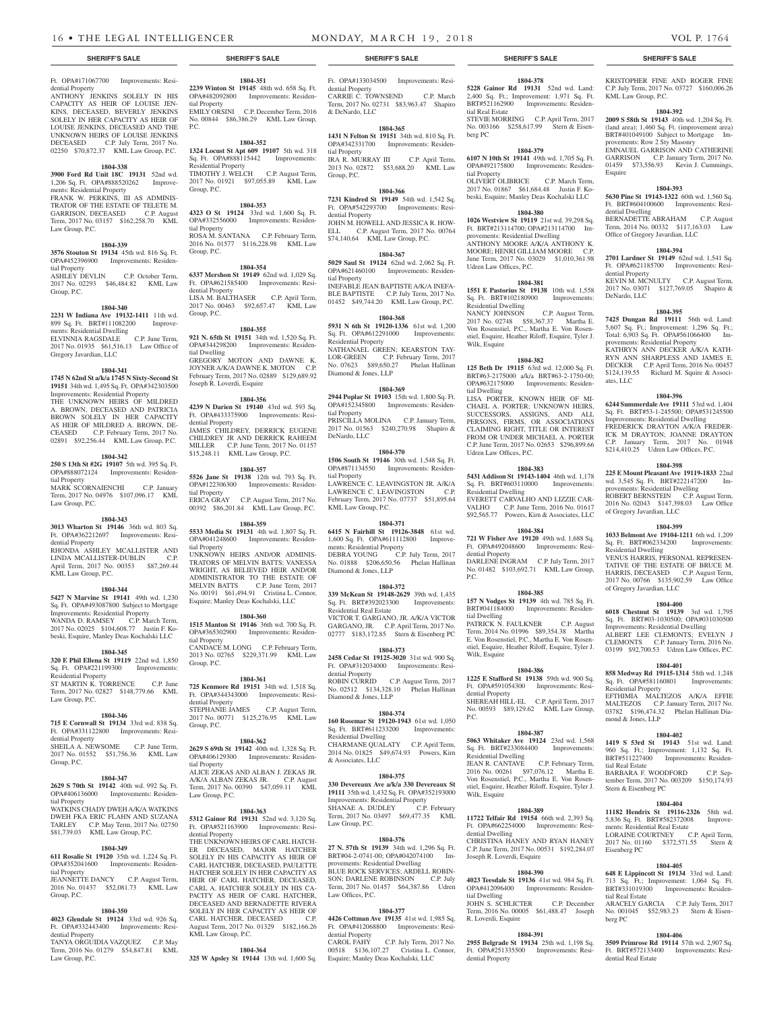#### Ft. OPA#171067700 Improvements: Residential Property

ANTHONY JENKINS SOLELY IN HIS CAPACITY AS HEIR OF LOUISE JEN-KINS, DECEASED, BEVERLY JENKINS SOLELY IN HER CAPACITY AS HEIR OF LOUISE JENKINS, DECEASED AND THE UNKNOWN HEIRS OF LOUISE JENKINS DECEASED C.P. July Term, 2017 No. 02250 \$70,872.37 KML Law Group, P.C.

### **1804-338**

**3900 Ford Rd Unit 18C 19131** 52nd wd. 1,206 Sq. Ft. OPA#888520262 Improvements: Residential Property FRANK W. PERKINS, III AS ADMINIS-TRATOR OF THE ESTATE OF TELETE M. GARRISON, DECEASED C.P. August Term, 2017 No. 03157 \$162,258.70 KML Law Group, P.C.

#### **1804-339**

**3576 Stouton St 19134** 45th wd. 816 Sq. Ft. OPA#452396900 Improvements: Residential Property ASHLEY DEVLIN C.P. October Term, 2017 No. 02293 \$46,484.82 KML Law Group, P.C.

#### **1804-340**

**2231 W Indiana Ave 19132-1411** 11th wd. 899 Sq. Ft. BRT#111082200 Improvements: Residential Dwelling ELVINNIA RAGSDALE C.P. June Term, ELVINNIA RAGSDALE C.P. June Term,<br>2017 No. 01935 \$61,516.13 Law Office of Gregory Javardian, LLC

#### **1804-341**

**1745 N 62nd St a/k/a 1745 N Sixty-Second St 19151** 34th wd. 1,495 Sq. Ft. OPA#342303500 Improvements: Residential Property THE UNKNOWN HEIRS OF MILDRED A. BROWN, DECEASED AND PATRICIA BROWN SOLELY IN HER CAPACITY AS HEIR OF MILDRED A. BROWN, DE-<br>CEASED C.P. February Term. 2017 No. C.P. February Term, 2017 No. 02891 \$92,256.44 KML Law Group, P.C.

#### **1804-342**

**250 S 13th St #2G 19107** 5th wd. 395 Sq. Ft. OPA#888072124 Improvements: Residential Property MARK SCORNAIENCHI C.P. January Term, 2017 No. 04976 \$107,096.17 KML

Law Group, P.C.

# **1804-343**

**3013 Wharton St 19146** 36th wd. 803 Sq. Ft. OPA#362212697 Improvements: Residential Property RHONDA ASHLEY MCALLISTER AND LINDA MCALLISTER-DUBLIN C.P.

April Term, 2017 No. 00353 \$87,269.44 KML Law Group, P.C.

# **1804-344**

**5427 N Marvine St 19141** 49th wd. 1,230 Sq. Ft. OPA#493087800 Subject to Mortgage Improvements: Residential Property WANDA D. RAMSEY C.P. March Term, 2017 No. 02025 \$104,608.77 Justin F. Kobeski, Esquire, Manley Deas Kochalski LLC

# **1804-345**

**320 E Phil Ellena St 19119** 22nd wd. 1,850 Sq. Ft. OPA#221199300 Improvements: Residential Property ST MARTIN K. TORRENCE C.P. June Term, 2017 No. 02827 \$148,779.66 KML Law Group, P.C.

#### **1804-346**

**715 E Cornwall St 19134** 33rd wd. 838 Sq. Ft. OPA#331122800 Improvements: Residential Property SHEILA A. NEWSOME C.P. June Term,

# 2017 No. 01552 \$51,756.36 KML Law Group, P.C.

**1804-347**

#### **2629 S 70th St 19142** 40th wd. 992 Sq. Ft. OPA#406136000 Improvements: Residential Property WATKINS CHADY DWEH A/K/A WATKINS DWEH FKA ERIC FLAHN AND SUZANA

TARLEY C.P. May Term, 2017 No. 02750 \$81,739.03 KML Law Group, P.C. **1804-349**

#### **611 Rosalie St 19120** 35th wd. 1,224 Sq. Ft. OPA#352041600 Improvements: Residential Property

JEANNETTE DANCY C.P. August Term, 2016 No. 01437 \$52,081.73 KML Law Group, P.C.

#### **1804-350**

**4023 Glendale St 19124** 33rd wd. 926 Sq. Ft. OPA#332443400 Improvements: Residential Property

TANYA ORGUIDIA VAZQUEZ C.P. May Term, 2016 No. 01279 \$54,847.81 KML Law Group, P.C.

# **1804-351 2239 Winton St 19145** 48th wd. 658 Sq. Ft. OPA#482092800 Improvements: Residen-

tial Property EMILY ORSINI C.P. December Term, 2016 No. 00844 \$86,386.29 KML Law Group, P.C. **1804-352**

**1324 Locust St Apt 609 19107** 5th wd. 318 Sq. Ft. OPA#888115442 Improvements: Residential Property TIMOTHY J. WELCH C.P. August Term, 2017 No. 01921 \$97,055.89 KML Law Group, P.C.

# **1804-353**

**4323 O St 19124** 33rd wd. 1,600 Sq. Ft. OPA#332556000 Improvements: Residential Property ROSA M. SANTANA C.P. February Term, 2016 No. 01577 \$116,228.98 KML Law Group, P.C.

# **1804-354**

**6337 Mershon St 19149** 62nd wd. 1,029 Sq. Ft. OPA#621585400 Improvements: Residential Property LISA M. BALTHASER C.P. April Term, 2017 No. 00463 \$92,657.47 KML Law Group, P.C.

#### **1804-355**

**921 N. 65th St 19151** 34th wd. 1,520 Sq. Ft. OPA#344298200 Improvements: Residential Dwelling GREGORY MOTON AND DAWNE K. JOYNER A/K/A DAWNE K. MOTON C.P. February Term, 2017 No. 02889 \$129,689.92 Joseph R. Loverdi, Esquire

#### **1804-356**

**4239 N Darien St 19140** 43rd wd. 593 Sq. Ft. OPA#433375900 Improvements: Residential Property JAMES CHILDREY, DERRICK EUGENE CHILDREY JR AND DERRICK RAHEEM MILLER C.P. June Term, 2017 No. 01157 \$15,248.11 KML Law Group, P.C.

# **1804-357**

**5526 Jane St 19138** 12th wd. 793 Sq. Ft. OPA#122306300 Improvements: Residential Property ERICA GRAY C.P. August Term, 2017 No. 00392 \$86,201.84 KML Law Group, P.C.

**1804-359**

**5533 Media St 19131** 4th wd. 1,807 Sq. Ft. OPA#041248600 Improvements: Residential Property UNKNOWN HEIRS AND/OR ADMINIS-TRATORS OF MELVIN BATTS; VANESSA WRIGHT, AS BELIEVED HEIR AND/OR ADMINISTRATOR TO THE ESTATE OF MELVIN BATTS C.P. June Term, 2017 No. 00191 \$61,494.91 Cristina L. Connor, Esquire; Manley Deas Kochalski, LLC

#### **1804-360**

**1515 Manton St 19146** 36th wd. 700 Sq. Ft. OPA#365302900 Improvements: Residential Property CANDACE M. LONG C.P. February Term, 2013 No. 02765 \$229,371.99 KML Law Group, P.C.

#### **1804-361**

**725 Kenmore Rd 19151** 34th wd. 1,518 Sq. Ft. OPA#344343000 Improvements: Residential Property STEPHANIE JAMES C.P. August Term, 2017 No. 00771 \$125,276.95 KML Law Group, P.C.

#### **1804-362**

**2629 S 69th St 19142** 40th wd. 1,328 Sq. Ft. OPA#406129300 Improvements: Residential Property ALICE ZEKAS AND ALBAN J. ZEKAS JR. A/K/A ALBAN ZEKAS JR. C.P. August Term, 2017 No. 00390 \$47,059.11 KML Law Group, P.C.

#### **1804-363**

**5312 Gainor Rd 19131** 52nd wd. 3,120 Sq. Ft. OPA#521163900 Improvements: Residential Property

THE UNKNOWN HEIRS OF CARL HATCH-ER DECEASED, MAJOR HATCHER SOLELY IN HIS CAPACITY AS HEIR OF CARL HATCHER, DECEASED, PAULETTE HATCHER SOLELY IN HER CAPACITY AS HEIR OF CARL HATCHER, DECEASED, CARL A. HATCHER SOLELY IN HIS CA-PACITY AS HEIR OF CARL HATCHER, DECEASED AND BERNADETTE RIVERA SOLELY IN HER CAPACITY AS HEIR OF CARL HATCHER, DECEASED C.P. CARL HATCHER, DECEASED August Term, 2017 No. 01329 \$182,166.26 KML Law Group, P.C.

### **1804-364**

**325 W Apsley St 19144** 13th wd. 1,600 Sq.

**SHERIFF'S SALE SHERIFF'S SALE SHERIFF'S SALE SHERIFF'S SALE SHERIFF'S SALE**

#### Ft. OPA#133034500 Improvements: Residential Property CARRIE C. TOWNSEND C.P. March Term, 2017 No. 02731 \$83,963.47 Shapiro & DeNardo, LLC

**1804-365**

**1431 N Felton St 19151** 34th wd. 810 Sq. Ft. OPA#342331700 Improvements: Residential Property IRA R. MURRAY III C.P. April Term, 2013 No. 02872 \$53,688.20 KML Law Group, P.C.

### **1804-366**

**7231 Kindred St 19149** 54th wd. 1,542 Sq. Ft. OPA#542293700 Improvements: Residential Property JOHN M. HOWELL AND JESSICA R. HOW-ELL C.P. August Term, 2017 No. 00764 \$74,140.64 KML Law Group, P.C.

#### **1804-367**

**5029 Saul St 19124** 62nd wd. 2,062 Sq. Ft. OPA#621460100 Improvements: Residential Property INEFABLE JEAN BAPTISTE A/K/A INEFA-BLE BAPTISTE C.P. July Term, 2017 No. 01452 \$49,744.20 KML Law Group, P.C.

# **1804-368**

**5931 N 6th St 19120-1336** 61st wd. 1,200 Sq. Ft. OPA#612291000 Improvements: Residential Property

NATHANAEL GREEN; KEARSTON TAY-LOR-GREEN C.P. February Term, 2017 No. 07623 \$89,650.27 Phelan Hallinan Diamond & Jones, LLP

# **1804-369**

**2944 Poplar St 19103** 15th wd. 1,800 Sq. Ft. OPA#152345800 Improvements: Residential Property PRISCILLA MOLINA C.P. January Term,

2017 No. 01563 \$240,270.98 Shapiro & DeNardo, LLC

# **1804-370**

**1506 South St 19146** 30th wd. 1,548 Sq. Ft. OPA#871134550 Improvements: Residential Property LAWRENCE C. LEAVINGSTON JR. A/K/A LAWRENCE C. LEAVINGSTON C.P. February Term, 2017 No. 07737 \$51,895.64 KML Law Group, P.C.

# **1804-371**

**6415 N Fairhill St 19126-3848** 61st wd. 1,600 Sq. Ft. OPA#611112800 Improvements: Residential Property DEBRA YOUNG C.P. July Term, 2017 No. 01888 \$206,650.56 Phelan Hallinan Diamond & Jones, LLP

# **1804-372**

**339 McKean St 19148-2629** 39th wd. 1,435 Sq. Ft. BRT#392023300 Improvements: Residential Real Estate VICTOR T. GARGANO, JR. A/K/A VICTOR GARGANO, JR. C.P. April Term, 2017 No. 02777 \$183,172.85 Stern & Eisenberg PC

#### **1804-373**

**2458 Cedar St 19125-3020** 31st wd. 900 Sq. Ft. OPA#312034000 Improvements: Residential Property ROBIN CURRID C.P. August Term, 2017 No. 02512 \$134,328.10 Phelan Hallinan Diamond & Jones, LLP

# **1804-374**

**160 Rosemar St 19120-1943** 61st wd. 1,050 Sq. Ft. BRT#611233200 Improvements: Residential Dwelling CHARMANE QUALATY C.P. April Term, 2014 No. 01825 \$49,674.93 Powers, Kirn & Associates, LLC

#### **1804-375**

**330 Devereaux Ave a/k/a 330 Devereaux St 19111** 35th wd. 1,432 Sq. Ft. OPA#352193000 Improvements: Residential Property SHANAE A. DUDLEY C.P. February

Term, 2017 No. 03497 \$69,477.35 KML Law Group, P.C.

# **1804-376**

**27 N. 57th St 19139** 34th wd. 1,296 Sq. Ft. BRT#04-2-0741-00; OPA#042074100 Improvements: Residential Dwelling BLUE ROCK SERVICES; ARDELL ROBIN-SON; DARLENE ROBINSON C.P. July Term, 2017 No. 01457 \$64,387.86 Udren Law Offices, P.C.

#### **1804-377 4426 Cottman Ave 19135** 41st wd. 1,985 Sq.

Ft. OPA#412068800 Improvements: Residential Property<br>CAROL FAHY C.P. July Term, 2017 No. 00518 \$136,107.27 Cristina L. Connor,

Esquire; Manley Deas Kochalski, LLC

**1804-378 5228 Gainor Rd 19131** 52nd wd. Land: 2,400 Sq. Ft.; Improvement: 1,971 Sq. Ft. BRT#521162900 Improvements: Residential Real Estate STEVIE MORRING C.P. April Term, 2017 No. 003166 \$258,617.99 Stern & Eisenberg PC

KRISTOPHER FINE AND ROGER FINE C.P. July Term, 2017 No. 03727 \$160,006.26

**1804-392 2009 S 58th St 19143** 40th wd. 1,204 Sq. Ft. (land area); 1,460 Sq. Ft. (improvement area) BRT#401049100 Subject to Mortgage Im-

EMNAUEL GARRISON AND CATHERINE GARRISON C.P. January Term, 2017 No. 01459 \$73,556.93 Kevin J. Cummings,

**1804-393 5630 Pine St 19143-1322** 60th wd. 1,560 Sq. Ft. BRT#604100600 Improvements: Resi-

BERNADETTE ABRAHAM C.P. August Term, 2014 No. 00332 \$117,163.03 Law Office of Gregory Javardian, LLC

**1804-394 2701 Lardner St 19149** 62nd wd. 1,541 Sq. Ft. OPA#621185700 Improvements: Resi-

KEVIN M. MCNULTY C.P. August Term, 2017 No. 03071 \$127,769.05 Shapiro &

**1804-395 7425 Dungan Rd 19111** 56th wd. Land: 5,607 Sq. Ft.; Improvement: 1,296 Sq. Ft.; Total: 6,903 Sq. Ft. OPA#561066400 Im-

KATHRYN ANN DECKER A/K/A KATH-RYN ANN SHARPLESS AND JAMES E. DECKER C.P. April Term, 2016 No. 00457 \$124,139.55 Richard M. Squire & Associ-

**1804-396 6244 Summerdale Ave 19111** 53rd wd. 1,404 Sq. Ft. BRT#53-1-245500; OPA#531245500 Improvements: Residential Dwelling FREDERICK DRAYTON A/K/A FREDER-ICK M DRAYTON; JOANNE DRAYTON C.P. January Term, 2017 No. 01948 \$214,410.25 Udren Law Offices, P.C. **1804-398 225 E Mount Pleasant Ave 19119-1833** 22nd wd. 3,545 Sq. Ft. BRT#222147200 Improvements: Residential Dwelling

ROBERT BERNSTEIN C.P. August Term, 2016 No. 02043 \$147,398.03 Law Office

**1804-399 1033 Belmont Ave 19104-1211** 6th wd. 1,209 Sq. Ft. BRT#062334200 Improvements:

VENUS HARRIS, PERSONAL REPRESEN-TATIVE OF THE ESTATE OF BRUCE M. HARRIS, DECEASED C.P. August Term, 2017 No. 00766 \$135,902.59 Law Office

**1804-400 6018 Chestnut St 19139** 3rd wd. 1,795 Sq. Ft. BRT#03-1030500; OPA#031030500 Improvements: Residential Dwelling ALBERT LEE CLEMONTS; EVELYN J CLEMONTS C.P. January Term, 2016 No. 03199 \$92,700.53 Udren Law Offices, P.C. **1804-401 858 Medway Rd 19115-1314** 58th wd. 1,248 Sq. Ft. OPA#581160801 Improvements:

EFTHIMIA MALTEZOS A/K/A EFFIE MALTEZOS C.P. January Term, 2017 No. 03782 \$196,474.32 Phelan Hallinan Dia-

**1804-402 1419 S 53rd St 19143** 51st wd. Land: 960 Sq. Ft.; Improvement: 1,132 Sq. Ft. BRT#511227400 Improvements: Residen-

BARBARA F. WOODFORD C.P. September Term, 2017 No. 003209 \$150,174.93

**1804-404 11182 Hendrix St 19116-2326** 58th wd. 5,836 Sq. Ft. BRT#582372008 Improvements: Residential Real Estate<br>LORAINE COURTNEY C.P. April Term,

**1804-405 648 E Lippincott St 19134** 33rd wd. Land: 713 Sq. Ft.; Improvement: 1,064 Sq. Ft. BRT#331019300 Improvements: Residen-

ARACELY GARCIA C.P. July Term, 2017 No. 001045 \$52,983.23 Stern & Eisen-

**1804-406 3509 Primrose Rd 19114** 57th wd. 2,907 Sq. Ft. BRT#572133400 Improvements: Resi-

of Gregory Javardian, LLC

Residential Dwelling

of Gregory Javardian, LLC

Residential Property

mond & Jones, LLP

tial Real Estate

Stern & Eisenberg PC

2017 No. 01160 Eisenberg PC

tial Real Estate

dential Real Estate

berg PC

LORAINE COURTNEY C.P.<br>2017 No. 01160 \$372,571.55

provements: Residential Property

KML Law Group, P.C.

Esquire

dential Dwelling

dential Property

DeNardo, LLC

ates, LLC

provements: Row 2 Sty Masonry

# **1804-379**

**6107 N 10th St 19141** 49th wd. 1,705 Sq. Ft. OPA#492175800 Improvements: Residential Property OLIVERT OLIBRICE C.P. March Term, 2017 No. 01867 \$61,684.48 Justin F. Kobeski, Esquire; Manley Deas Kochalski LLC

#### **1804-380**

**1026 Westview St 19119** 21st wd. 39,298 Sq. Ft. BRT#213114700; OPA#213114700 Improvements: Residential Dwelling ANTHONY MOORE A/K/A ANTHONY K. MOORE; HENRI GILLIAM MOORE C.P. June Term, 2017 No. 03029 \$1,010,361.98 Udren Law Offices, P.C.

#### **1804-381**

**1551 E Pastorius St 19138** 10th wd. 1,558 Sq. Ft. BRT#102180900 Improvements: Residential Dwelling

NANCY JOHNSON C.P. August Term, 2017 No. 02748 \$58,367.37 Martha E. Von Rosenstiel, P.C., Martha E. Von Rosenstiel, Esquire, Heather Riloff, Esquire, Tyler J. Wilk, Esquire

**1804-382 125 Beth Dr 19115** 63rd wd. 12,000 Sq. Ft. BRT#63-2175000 a/k/a BRT#63-2-1750-00; OPA#632175000 Improvements: Residen-

LISA PORTER, KNOWN HEIR OF MI-CHAEL A. PORTER; UNKNOWN HEIRS, SUCCESSORS, ASSIGNS, AND ALL PERSONS, FIRMS, OR ASSOCIATIONS CLAIMING RIGHT, TITLE OR INTEREST FROM OR UNDER MICHAEL A. PORTER C.P. June Term, 2017 No. 02653 \$296,899.66

**1804-383 5431 Addison St 19143-1404** 46th wd. 1,178 Sq. Ft. BRT#603110000 Improvements:

EVERETT CARVALHO AND LIZZIE CAR-VALHO C.P. June Term, 2016 No. 01617 \$92,565.77 Powers, Kirn & Associates, LLC **1804-384 721 W Fisher Ave 19120** 49th wd. 1,688 Sq. Ft. OPA#492048600 Improvements: Resi-

DARLENE INGRAM C.P. July Term, 2017 No. 01482 \$103,692.71 KML Law Group,

**1804-385 157 N Vodges St 19139** 4th wd. 785 Sq. Ft. BRT#041184000 Improvements: Residen-

PATRICK N. FAULKNER C.P. August Term, 2014 No. 01996 \$89,354.38 Martha E. Von Rosenstiel, P.C., Martha E. Von Rosenstiel, Esquire, Heather Riloff, Esquire, Tyler J.

**1804-386 1225 E Stafford St 19138** 59th wd. 900 Sq. Ft. OPA#591054300 Improvements: Resi-

SHEREAH HILL-EL C.P. April Term, 2017 No. 00593 \$89,129.62 KML Law Group,

**1804-387 5063 Whitaker Ave 19124** 23rd wd. 1,568 Sq. Ft. BRT#233084400 Improvements:

2016 No. 00261 \$97,076.12 Martha E. Von Rosenstiel, P.C., Martha E. Von Rosenstiel, Esquire, Heather Riloff, Esquire, Tyler J.

**1804-389 11722 Telfair Rd 19154** 66th wd. 2,393 Sq. Ft. OPA#662254000 Improvements: Resi-

CHRISTINA HANEY AND RYAN HANEY C.P. June Term, 2017 No. 00531 \$192,284.07

**1804-390 4023 Teesdale St 19136** 41st wd. 984 Sq. Ft. OPA#412096400 Improvements: Residen-

JOHN S. SCHLICTER C.P. December Term, 2016 No. 00005 \$61,488.47 Joseph

**1804-391 2955 Belgrade St 19134** 25th wd. 1,198 Sq. Ft. OPA#251335500 Improvements: Resi-

C.P. February Term,

tial Dwelling

Udren Law Offices, P.C.

Residential Dwelling

dential Property

tial Dwelling

Wilk, Esquire

dential Property

Residential Dwelling<br>JEAN R. CANTAVE

Wilk, Esquire

dential Dwelling

tial Dwelling

R. Loverdi, Esquire

dential Property

Joseph R. Loverdi, Esquire

P.C.

P.C.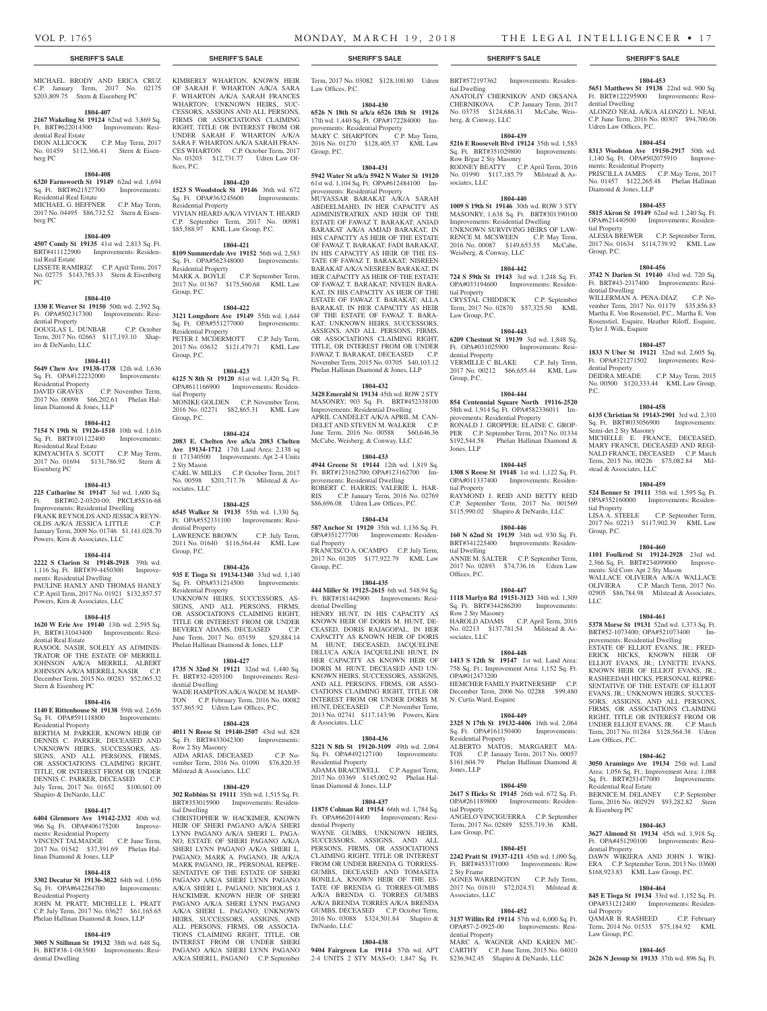dential Dwelling

Udren Law Offices, P.C.

ments: Residential Property

Diamond & Jones, LLP

tial Property

Group, P.C.

dential Dwelling

Tyler J. Wilk, Esquire

dential Property

Semi-det 2 Sty Masonry

stead & Associates, LLC

tial Property

Group, P.C.

LLC

Law Offices, P.C.

& Eisenberg PC

dential Property

tial Property

Law Group, P.C.

Residential Real Estate

P.C.

**1804-453 5651 Matthews St 19138** 22nd wd. 900 Sq. Ft. BRT#122295900 Improvements: Resi-

ALONZO NEAL A/K/A ALONZO L. NEAL C.P. June Term, 2016 No. 00307 \$94,700.06

**1804-454 8313 Woolston Ave 19150-2917** 50th wd. 1,140 Sq. Ft. OPA#502075910 Improve-

PRISCILLA JAMES C.P. May Term, 2017 No. 01457 \$122,265.48 Phelan Hallinan

**1804-455 5815 Akron St 19149** 62nd wd. 1,240 Sq. Ft. OPA#621440500 Improvements: Residen-

ALESIA BREWER C.P. September Term, 2017 No. 01634 \$114,739.92 KML Law

**1804-456 3742 N Darien St 19140** 43rd wd. 720 Sq. Ft. BRT#43-2317400 Improvements: Resi-

WILLERMAN A. PENA-DIAZ C.P. November Term, 2017 No. 01179 \$35,856.83 Martha E. Von Rosenstiel, P.C., Martha E. Von Rosenstiel, Esquire, Heather Riloff, Esquire,

**1804-457 1833 N Uber St 19121** 32nd wd. 2,605 Sq. Ft. OPA#321271502 Improvements: Resi-

DEIDRA MEADE C.P. May Term, 2015 No. 00500 \$120,333.44 KML Law Group,

**1804-458 6135 Christian St 19143-2901** 3rd wd. 2,310 Sq. Ft. BRT#033056900 Improvements:

MICHELLE E. FRANCE, DECEASED, MARY FRANCE, DECEASED AND REGI-NALD FRANCE, DECEASED C.P. March Term, 2015 No. 00226 \$75,082.84 Mil-

**1804-459 524 Benner St 19111** 35th wd. 1,595 Sq. Ft. OPA#352160000 Improvements: Residen-

LISA A. STEELE C.P. September Term, 2017 No. 02213 \$117,902.39 KML Law

**1804-460 1101 Foulkrod St 19124-2928** 23rd wd. 2,366 Sq. Ft. BRT#234099000 Improve-

WALLACE OLIVEIRA A/K/A WALLACE OLIVIERA C.P. March Term, 2017 No. 02905 \$86,784.98 Milstead & Associates,

**1804-461 5378 Morse St 19131** 52nd wd. 1,373 Sq. Ft. BRT#52-1073400; OPA#521073400 Improvements: Residential Dwelling ESTATE OF ELLIOT EVANS, JR.; FRED-ERICK HICKS, KNOWN HEIR OF ELLIOT EVANS, JR.; LYNETTE EVANS, KNOWN HEIR OF ELLIOT EVANS, JR.; RASHEEDAH HICKS, PERSONAL REPRE-SENTATIVE OF THE ESTATE OF ELLIOT EVANS, JR.; UNKNOWN HEIRS, SUCCES-SORS, ASSIGNS, AND ALL PERSONS, FIRMS, OR ASSOCIATIONS CLAIMING RIGHT, TITLE OR INTEREST FROM OR UNDER ELLIOT EVANS, JR. C.P. March Term, 2017 No. 01284 \$128,564.38 Udren

**1804-462 3050 Aramingo Ave 19134** 25th wd. Land Area: 1,056 Sq. Ft.; Improvement Area: 1,088 Sq. Ft. BRT#251477000 Improvements:

BERNICE M. DELANEY C.P. September Term, 2016 No. 002929 \$93,282.82 Stern

**1804-463 3627 Almond St 19134** 45th wd. 1,918 Sq.  $F_t$ . OPA#451290100 Improvements

DAWN WIKIERA AND JOHN J. WIKI-ERA C.P. September Term, 2013 No. 03600 \$168,923.83 KML Law Group, P.C. **1804-464 845 E Tioga St 19134** 33rd wd. 1,152 Sq. Ft. OPA#331212400 Improvements: Residen-

QAMAR B. RASHEED C.P. February Term, 2014 No. 01535 \$75,184.92 KML

**1804-465 2626 N Jessup St 19133** 37th wd. 896 Sq. Ft.

ments: S/d Conv Apt 2 Sty Mason

#### **SHERIFF'S SALE SHERIFF'S SALE SHERIFF'S SALE SHERIFF'S SALE SHERIFF'S SALE**

#### MICHAEL BRODY AND ERICA CRUZ C.P. January Term, 2017 No. 02175 \$203,809.75 Stern & Eisenberg PC

#### **1804-407**

# **2167 Wakeling St 19124** 62nd wd. 3,869 Sq. Ft. BRT#622014300 Improvements: Residential Real Estate<br>DION ALLICOCK

C.P. May Term, 2017 No. 01459 \$112,366.41 Stern & Eisenberg PC

### **1804-408**

#### **6320 Farnsworth St 19149** 62nd wd. 1,694 Sq. Ft. BRT#621527700 Improvements: Residential Real Estate MICHAEL G. HEFFNER C.P. May Term,

2017 No. 04495 \$86,732.52 Stern & Eisenberg PC

# **1804-409**

**4507 Comly St 19135** 41st wd. 2,813 Sq. Ft. BRT#411122900 Improvements: Residential Real Estate

LISSETE RAMIREZ C.P. April Term, 2017 No. 02775 \$143,785.33 Stern & Eisenberg PC

#### **1804-410**

**1330 E Weaver St 19150** 50th wd. 2,592 Sq. Ft. OPA#502317300 Improvements: Residential Property DOUGLAS L. DUNBAR C.P. October Term, 2017 No. 02663 \$117,193.10 Shapiro & DeNardo, LLC

#### **1804-411**

**5649 Chew Ave 19138-1738** 12th wd. 1,636 Sq. Ft. OPA#122232000 Improvements: Residential Property DAVID GRAVES C.P. November Term, 2017 No. 00098 \$66,202.61 Phelan Hallinan Diamond & Jones, LLP

#### **1804-412**

**7154 N 19th St 19126-1510** 10th wd. 1,616 Sq. Ft. BRT#101122400 Improvements: Residential Real Estate KIMYACHTA S. SCOTT C.P. May Term, 2017 No. 01694 \$131,786.92 Stern & Eisenberg PC

#### **1804-413**

**225 Catharine St 19147** 3rd wd. 1,600 Sq. Ft. BRT#02-2-0320-00; PRCL#5S16-68 Improvements: Residential Dwelling FRANK REYNOLDS AND JESSICA REYN-OLDS A/K/A JESSICA LITTLE C.P. January Term, 2009 No. 01746 \$1,141.028.70 Powers, Kirn & Associates, LLC

#### **1804-414**

**2222 S Clarion St 19148-2918** 39th wd. 1,116 Sq. Ft. BRT#39-4450300 Improvements: Residential Dwelling PAULINE HANLY AND THOMAS HANLY C.P. April Term, 2017 No. 01921 \$132,857.57 Powers, Kirn & Associates, LLC

#### **1804-415**

**1620 W Erie Ave 19140** 13th wd. 2,595 Sq. Ft. BRT#131043400 Improvements: Residential Real Estate RASOOL NASIR, SOLELY AS ADMINIS-TRATOR OF THE ESTATE OF MERRILL

#### JOHNSON A/K/A MERRILL ALBERT JOHNSON A/K/A MERRILL NASIR C.P. December Term, 2015 No. 00283 \$52,065.32 Stern & Eisenberg PC

# **1804-416**

**1140 E Rittenhouse St 19138** 59th wd. 2,656 Sq. Ft. OPA#591118800 Improvements: Residential Property

BERTHA M. PARKER, KNOWN HEIR OF DENNIS C. PARKER, DECEASED AND UNKNOWN HEIRS, SUCCESSORS, AS-SIGNS, AND ALL PERSONS, FIRMS, OR ASSOCIATIONS CLAIMING RIGHT, TITLE, OR INTEREST FROM OR UNDER DENNIS C. PARKER, DECEASED C.P. July Term, 2017 No. 01652 \$100,601.09 Shapiro & DeNardo, LLC

# **1804-417**

**6404 Glenmore Ave 19142-2332** 40th wd. 966 Sq. Ft. OPA#406175200 Improvements: Residential Property VINCENT TALMADGE C.P. June Term 2017 No. 01542 \$37,391.69 Phelan Hallinan Diamond & Jones, LLP

# **1804-418**

**3302 Decatur St 19136-3022** 64th wd. 1,056 Sq. Ft. OPA#642284700 Improvements: Residential Property JOHN M. PRATT; MICHELLE L. PRATT C.P. July Term, 2017 No. 03627 \$61,165.65 Phelan Hallinan Diamond & Jones, LLP

# **1804-419**

**3005 N Stillman St 19132** 38th wd. 648 Sq. Ft. BRT#38-1-083500 Improvements: Residential Dwelling

OF SARAH F. WHARTON A/K/A SARA F. WHARTON A/K/A SARAH FRANCES WHARTON; UNKNOWN HEIRS, SUC-CESSORS, ASSIGNS AND ALL PERSONS, FIRMS OR ASSOCIATIONS CLAIMING RIGHT, TITLE OR INTEREST FROM OR UNDER SARAH F. WHARTON A/K/A SARA F. WHARTON A/K/A SARAH FRAN-CES WHARTON C.P. October Term, 2017 No. 03203 \$12,731.77 Udren Law Offices, P.C.

# **1804-420**

**1523 S Woodstock St 19146** 36th wd. 672 Sq. Ft. OPA#363245600 Improvements: Residential Property VIVIAN HEARD A/K/A VIVIAN T. HEARD C.P. September Term, 2017 No. 00981 \$85,588.97 KML Law Group, P.C.

#### **1804-421**

**8109 Summerdale Ave 19152** 56th wd. 2,583 Sq. Ft. OPA#562348000 Improvements: Residential Property<br>MARK A. BOYLE C.P. September Term, 2017 No. 01367 \$175,560.68 KML Law Group, P.C.

#### **1804-422**

**3121 Longshore Ave 19149** 55th wd. 1,644 Sq. Ft. OPA#551277000 Improvements: Residential Property PETER J. MCDERMOTT C.P. July Term, 2017 No. 03632 \$121,479.71 KML Law Group, P.C.

#### **1804-423**

**6125 N 8th St 19120** 61st wd. 1,420 Sq. Ft. OPA#611166900 Improvements: Residential Property MONIKE GOLDEN C.P. November Term, 2016 No. 02271 \$82,865.31 KML Law Group, P.C.

#### **1804-424**

**2083 E. Chelten Ave a/k/a 2083 Chelten Ave 19134-1712** 17th Land Area: 2,138 sq ft 171340500 Improvements: Apt 2-4 Units 2 Sty Mason CARL W. MILES C.P. October Term, 2017 No. 00598 \$201,717.76 Milstead & Associates, LLC

#### **1804-425**

**6545 Walker St 19135** 55th wd. 1,330 Sq. Ft. OPA#552331100 Improvements: Residential Property LAWRENCE BROWN C.P. July Term, 2011 No. 01640 \$116,564.44 KML Law Group, P.C.

#### **1804-426**

**935 E Tioga St 19134-1340** 33rd wd. 1,140 Sq. Ft. OPA#331214500 Improvements: Residential Property UNKNOWN HEIRS, SUCCESSORS, AS-SIGNS, AND ALL PERSONS, FIRMS, OR ASSOCIATIONS CLAIMING RIGHT, TITLE OR INTEREST FROM OR UNDER BEVERLY ADAMS, DECEASED C.P. June Term, 2017 No. 03159 \$29,884.14 Phelan Hallinan Diamond & Jones, LLP

#### **1804-427**

**1735 N 32nd St 19121** 32nd wd. 1,440 Sq. Ft. BRT#32-4203100 Improvements: Residential Dwelling WADE HAMPTON A/K/A WADE M. HAMP-TON C.P. February Term, 2016 No. 00082 \$57,865.92 Udren Law Offices, P.C.

#### **1804-428**

**4011 N Reese St 19140-2507** 43rd wd. 828 Sq. Ft. BRT#433042300 Improvements: Row 2 Sty Masonry AIDA ARIAS, DECEASED C.P. November Term, 2016 No. 01090 \$76,820.35 Milstead  $\&$  Associates, LLC

#### **1804-429**

**302 Robbins St 19111** 35th wd. 1,515 Sq. Ft. BRT#353015900 Improvements: Residential Dwelling CHRISTOPHER W. HACKIMER, KNOWN HEIR OF SHERI PAGANO A/K/A SHERI LYNN PAGANO A/K/A SHERI L. PAGA-NO; ESTATE OF SHERI PAGANO A/K/A SHERI LYNN PAGANO A/K/A SHERI L. PAGANO; MARK A. PAGANO, JR A/K/A MARK PAGANO, JR., PERSONAL REPRE-SENTATIVE OF THE ESTATE OF SHERI PAGANO A/K/A SHERI LYNN PAGANO A/K/A SHERI L. PAGANO; NICHOLAS J. HACKIMER, KNOWN HEIR OF SHERI PAGANO A/K/A SHERI LYNN PAGANO A/K/A SHERI L. PAGANO; UNKNOWN HEIRS, SUCCESSORS, ASSIGNS, AND ALL PERSONS, FIRMS, OR ASSOCIA-TIONS CLAIMING RIGHT, TITLE, OR INTEREST FROM OR UNDER SHERI PAGANO A/K/A SHERI LYNN PAGANO A/K/A SHERI L. PAGANO C.P. September

KIMBERLY WHARTON, KNOWN HEIR Term, 2017 No. 03082 \$128,100.80 Udren Law Offices, P.C.

### **1804-430**

**6526 N 18th St a/k/a 6526 18th St 19126**  17th wd. 1,440 Sq. Ft. OPA#172284000 Improvements: Residential Property<br>MARY C. SHARPTON C.P. May Term. MARY C. SHARPTON 2016 No. 01270 \$128,405.37 KML Law Group, P.C.

#### **1804-431 5942 Water St a/k/a 5942 N Water St 19120**

61st wd. 1,104 Sq. Ft. OPA#612484100 Improvements: Residential Property MUYASSAR BARAKAT A/K/A SARAH ABDEELMAHD, IN HER CAPACITY AS ADMINISTRATRIX AND HEIR OF THE ESTATE OF FAWAZ T. BARAKAT; ANJAD BARAKAT A/K/A AMJAD BARAKAT, IN HIS CAPACITY AS HEIR OF THE ESTATE OF FAWAZ T. BARAKAT; FADI BARAKAT, IN HIS CAPACITY AS HEIR OF THE ES-TATE OF FAWAZ T. BARAKAT; NISREEN BARAKAT A/K/A NESREEN BARAKAT, IN HER CAPACITY AS HEIR OF THE ESTATE OF FAWAZ T. BARAKAT; NIVEEN BARA-KAT, IN HIS CAPACITY AS HEIR OF THE ESTATE OF FAWAZ T. BARAKAT; ALLA BARAKAT, IN HER CAPACITY AS HEIR OF THE ESTATE OF FAWAZ T. BARA-KAT; UNKNOWN HEIRS, SUCCESSORS, ASSIGNS, AND ALL PERSONS, FIRMS, OR ASSOCIATIONS CLAIMING RIGHT, TITLE, OR INTEREST FROM OR UNDER<br>FAWAZ T. BARAKAT. DECEASED CP FAWAZ T. BARAKAT, DECEASED November Term, 2015 No. 03705 \$40,103.12 Phelan Hallinan Diamond & Jones, LLP

#### **1804-432**

**3428 Emerald St 19134** 45th wd. ROW 2 STY MASONRY; 903 Sq. Ft. BRT#452338100 Improvements: Residential Dwelling APRIL CANDELET A/K/A APRIL M. CAN-DELET AND STEVEN M. WALKER C.P. June Term, 2016 No. 00588 \$60,646.36 McCabe, Weisberg, & Conway, LLC

#### **1804-433**

**4944 Greene St 19144** 12th wd. 1,819 Sq. Ft. BRT#123162700; OPA#123162700 Improvements: Residential Dwelling ROBERT C. HARRIS; VALERIE L. HAR-RIS C.P. January Term, 2016 No. 02769 \$86,696.08 Udren Law Offices, P.C.

#### **1804-434**

**587 Anchor St 19120** 35th wd. 1,136 Sq. Ft. OPA#351277700 Improvements: Residential Property FRANCISCO A. OCAMPO C.P. July Term, 2017 No. 01205 \$177,922.79 KML Law Group, P.C.

### **1804-435**

**444 Miller St 19125-2615** 6th wd. 548.94 Sq. Ft. BRT#181442900 Improvements: Residential Dwelling HENRY HUNT, IN HIS CAPACITY AS KNOWN HEIR OF DORIS M. HUNT, DE-CEASED, DORIS RAJAGOPAL, IN HER CAPACITY AS KNOWN HEIR OF DORIS M. HUNT, DECEASED, JACQUELINE DELUCA A/K/A JACQUELINE HUNT, IN HER CAPACITY AS KNOWN HEIR OF DORIS M. HUNT, DECEASED AND UN-KNOWN HEIRS, SUCCESSORS, ASSIGNS, AND ALL PERSONS, FIRMS, OR ASSO-CIATIONS CLAIMING RIGHT, TITLE OR INTEREST FROM OR UNDER DORIS M. HUNT, DECEASED C.P. November Term, 2013 No. 02741 \$117,143.96 Powers, Kirn & Associates, LLC

#### **1804-436**

**5221 N 8th St 19120-3109** 49th wd. 2,064 Sq. Ft. OPA#492127100 Improvements: Residential Property ADAMA BRACEWELL C.P. August Term, 2017 No. 03369 \$145,002.92 Phelan Hallinan Diamond & Jones, LLP

#### **1804-437**

**11875 Colman Rd 19154** 66th wd. 1,784 Sq. Ft. OPA#662014400 Improvements: Residential Property WAYNE GUMBS, UNKNOWN HEIRS, SUCCESSORS, ASSIGNS, AND ALL PERSONS, FIRMS, OR ASSOCIATIONS CLAIMING RIGHT, TITLE OR INTEREST FROM OR UNDER BRENDA G. TORRESS-GUMBS, DECEASED AND TOMASITA BONILLA, KNOWN HEIR OF THE ES-TATE OF BRENDA G. TORRES-GUMBS A/K/A BRENDA G. TORRES GUMBS A/K/A BRENDA TORRES A/K/A BRENDA GUMBS, DECEASED C.P. October Term, 2016 No. 03088 \$324,501.84 Shapiro & DeNardo, LLC

#### **1804-438**

**9404 Fairgreen Ln 19114** 57th wd. APT 2-4 UNITS 2 STY MAS+O; 1,847 Sq. Ft.

# BRT#572197362 Improvements: Residential Dwelling

ANATOLIY CHERNIKOV AND OKSANA CHERNIKOVA C.P. January Term, 2017 No. 03735 \$124,686.31 McCabe, Weisberg, & Conway, LLC

# **1804-439**

**5216 E Roosevelt Blvd 19124** 35th wd. 1,583 Sq. Ft. BRT#351029800 Improvements: Row B/gar 2 Sty Masonry RODNEY BEATTY C.P. April Term, 2016 No. 01990 \$117,185.79 Milstead & Associates, LLC

#### **1804-440**

**1009 S 19th St 19146** 30th wd. ROW 3 STY MASONRY; 1,638 Sq. Ft. BRT#301390100 Improvements: Residential Dwelling UNKNOWN SURVIVING HEIRS OF LAW-RENCE M. MCSWEEN C.P. May Term, 2016 No. 00087 \$149,653.55 McCabe, Weisberg, & Conway, LLC

### **1804-442**

**724 S 59th St 19143** 3rd wd. 1,248 Sq. Ft. OPA#033194600 Improvements: Residential Property CRYSTAL CHIDDICK C.P. September Term, 2017 No. 02870 \$57,325.50 KML Law Group, P.C.

# **1804-443**

**6209 Chestnut St 19139** 3rd wd. 1,848 Sq. Ft. OPA#031025900 Improvements: Residential Property VERMILLE C BLAKE C.P. July Term, 2017 No. 00212 \$66,655.44 KML Law Group, P.C.

#### **1804-444**

**854 Centennial Square North 19116-2520**  58th wd. 1,914 Sq. Ft. OPA#582336011 Improvements: Residential Property RONALD J. GROPPER; ELAINE C. GROP-PER C.P. September Term, 2017 No. 01334 \$192,544.58 Phelan Hallinan Diamond & Jones, LLP

### **1804-445**

**1308 S Reese St 19148** 1st wd. 1,122 Sq. Ft. OPA#011337400 Improvements: Residential Property RAYMOND J. REID AND BETTY REID C.P. September Term, 2017 No. 001569 \$115,990.02 Shapiro & DeNardo, LLC

### **1804-446**

**160 N 62nd St 19139** 34th wd. 930 Sq. Ft. BRT#341225400 Improvements: Residential Dwelling ANNIE M. SALTER C.P. September Term, 2017 No. 02893 \$74,736.16 Udren Law Offices, P.C.

# **1804-447**

**1118 Marlyn Rd 19151-3123** 34th wd. 1,309 Sq. Ft. BRT#344286200 Improvements: Row 2 Sty Masonry HAROLD ADAMS C.P. April Term, 2016 No. 02213 \$137,781.54 Milstead & Associates, LLC

#### **1804-448**

**1413 S 12th St 19147** 1st wd. Land Area: 758 Sq. Ft.; Improvement Area: 1,152 Sq. Ft. OPA#012473200 HEMCHER FAMILY PARTNERSHIP C.P. December Term, 2006 No. 02288 \$99,480 N. Curtis Ward, Esquire

# **1804-449**

**2325 N 17th St 19132-4406** 16th wd. 2,064 Sq. Ft. OPA#161150400 Improvements: Residential Property ALBERTO MATOS; MARGARET MA-TOS C.P. January Term, 2017 No. 00057 \$161,604.79 Phelan Hallinan Diamond & Jones, LLP

# **1804-450**

**2617 S Hicks St 19145** 26th wd. 672 Sq. Ft. OPA#261189800 Improvements: Residential Property ANGELO VINCIGUERRA C.P. September Term, 2017 No. 02889 \$255,719.36 KML Law Group, P.C.

**1804-451 2242 Pratt St 19137-1211** 45th wd. 1,090 Sq. Ft. BRT#453371000 Improvements: Row

AGNES WARRINGTON C.P. July Term, 2017 No. 01610 \$72,024.51 Milstead &

**1804-452 3137 Willits Rd 19114** 57th wd. 6,000 Sq. Ft.

MARC A. WAGNER AND KAREN MC-CARTHY C.P. June Term, 2015 No. 04010 \$236,942.45 Shapiro & DeNardo, LLC

Improvements: Resi-

2 Sty Frame

Associates, LLC

dential Property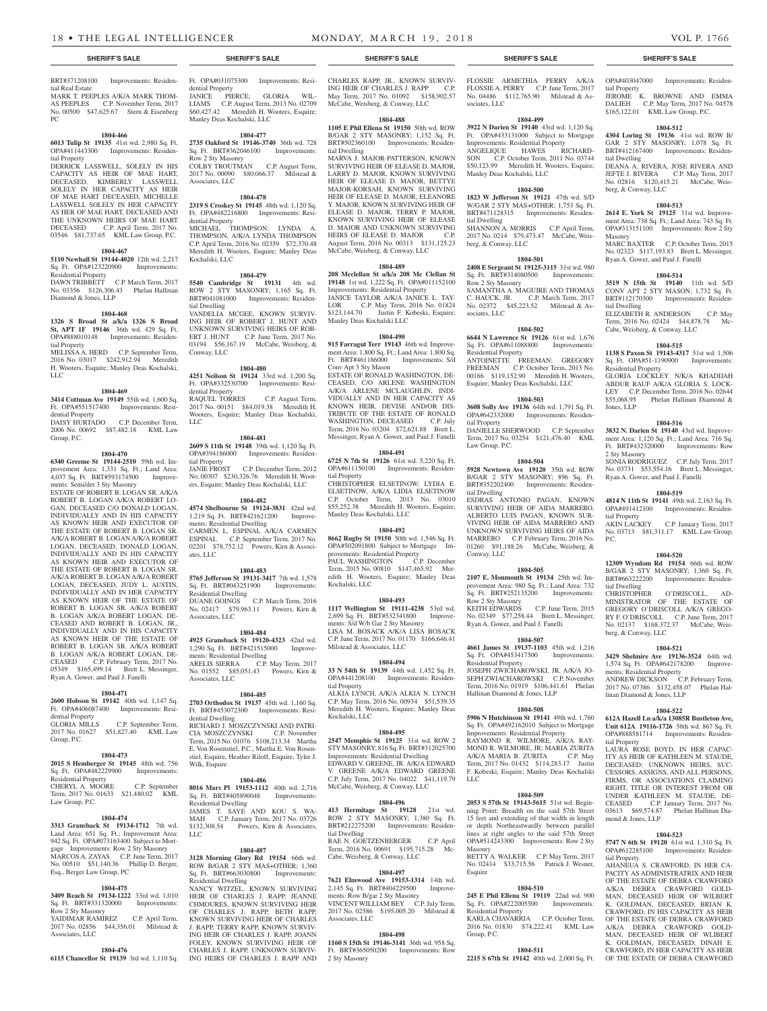BRT#371208100 Improvements: Residen-

MARK T. PEEPLES A/K/A MARK THOM-AS PEEPLES C.P. November Term, 2017 No. 00500 \$47,625.67 Stern & Eisenberg

**1804-466 6013 Tulip St 19135** 41st wd. 2,980 Sq. Ft. OPA#411443300 Improvements: Residen-

DERRICK LASSWELL, SOLELY IN HIS CAPACITY AS HEIR OF MAE HART, DECEASED, KIMBERLY LASSWELL SOLELY IN HER CAPACITY AS HEIR OF MAE HART DECEASED, MICHELLE LASSWELL SOLELY IN HER CAPACITY AS HER OF MAE HART, DECEASED AND THE UNKNOWN HEIRS OF MAE HART DECEASED C.P. April Term, 2017 No. 03546 \$81,737.65 KML Law Group, P.C. **1804-467 5110 Newhall St 19144-4020** 12th wd. 2,217 Sq. Ft. OPA#123220900 Improvements:

DAWN TRIBBETT C.P. March Term, 2017 No. 03356 \$126,306.43 Phelan Hallinan

**1804-468 1326 S Broad St a/k/a 1326 S Broad St, APT 1F 19146** 36th wd. 429 Sq. Ft. OPA#888010148 Improvements: Residen-

MELISSA A. HERD C.P. September Term, 2016 No. 03017 \$242,912.94 Meredith H. Wooters, Esquire; Manley Deas Kochalski,

**1804-469 3414 Cottman Ave 19149** 55th wd. 1,600 Sq. Ft. OPA#551517400 Improvements: Resi-

DAISY HURTADO C.P. December Term, 2006 No. 00692 \$87,482.18 KML Law

**1804-470 6340 Greeme St 19144-2510** 59th wd. Improvement Area: 1,331 Sq. Ft.; Land Area: <sup>1</sup>,037 Sq. Ft. BRT#593174500 Improve-

ESTATE OF ROBERT B. LOGAN SR. A/K/A ROBERT B. LOGAN A/K/A ROBERT LO-GAN, DECEASED C/O DONALD LOGAN, INDIVIDUALLY AND IN HIS CAPACITY AS KNOWN HEIR AND EXECUTOR OF THE ESTATE OF ROBERT B. LOGAN SR. A/K/A ROBERT B. LOGAN A/K/A ROBERT LOGAN, DECEASED, DONALD LOGAN, INDIVIDUALLY AND IN HIS CAPACITY AS KNOWN HEIR AND EXECUTOR OF THE ESTATE OF ROBERT B. LOGAN SR. A/K/A ROBERT B. LOGAN A/K/A ROBERT LOGAN, DECEASED, JUDY L. AUSTIN, INDIVIDUALLY AND IN HER CAPACITY AS KNOWN HEIR OF THE ESTATE OF ROBERT B. LOGAN SR. A/K/A ROBERT B. LOGAN A/K/A ROBERT LOGAN, DE-CEASED AND ROBERT B. LOGAN, JR., INDIVIDUALLY AND IN HIS CAPACITY AS KNOWN HEIR OF THE ESTATE OF ROBERT B. LOGAN SR. A/K/A ROBERT B. LOGAN A/K/A ROBERT LOGAN, DE-CEASED C.P. February Term, 2017 No. 05349 \$165,499.14 Brett L. Messinger, Ryan A. Gower, and Paul J. Fanelli

**1804-471 2600 Hobson St 19142** 40th wd. 1,147 Sq. Ft. OPA#406087400 Improvements: Resi-

2017 No. 01627 \$51,827.40 KML Law

**1804-473 2015 S Hemberger St 19145** 48th wd. 756 Sq. Ft. OPA#482229900 Improvements:

CHERYL A. MOORE C.P. September Term, 2017 No. 01633 \$21,480.02 KML

**1804-474 3313 Gransback St 19134-1712** 7th wd. Land Area: 651 Sq. Ft.; Improvement Area: 942 Sq. Ft. OPA#073163400 Subject to Mortgage Improvements: Row 2 Sty Masonry MARCOS A. ZAYAS C.P. June Term, 2017 No. 00510 \$51,140.36 Phillip D. Berger,

**1804-475 3409 Reach St 19134-1222** 33rd wd. 1,010 Sq. Ft. BRT#331320000 Improvements:

YAIDIMAR RAMIREZ C.P. April Term, 2017 No. 02856 \$44,356.01 Milstead &

**1804-476 6115 Chancellor St 19139** 3rd wd. 1,110 Sq.

C.P. September Term,

dential Property

Residential Property

Esq., Berger Law Group, PC

Row 2 Sty Masonry

Associates, LLC

Law Group, P.C.

Group, P.C.

ments: Semi/det 3 Sty Masonry

tial Real Estate

tial Property

Residential Property

tial Property

dential Property

Group, P.C.

LLC

Diamond & Jones, LLP

 $PC$ 

Ft. OPA#031075300 Improvements: Residential Property JANICE PIERCE; GLORIA WIL-LIAMS C.P. August Term, 2013 No. 02709 \$60,427.42 Meredith H. Wooters, Esquire; Manley Deas Kochalski, LLC

#### **1804-477**

**2735 Oakford St 19146-3740** 36th wd. 728 Sq. Ft. BRT#362046100 Row 2 Sty Masonry COLBY TROUTMAN C.P. August Term, 2017 No. 00090 \$80,066.37 Milstead & Associates, LLC

### **1804-478**

**2319 S Croskey St 19145** 48th wd. 1,120 Sq. Ft. OPA#482216800 Improvements: Residential Property MICHAEL THOMPSON; LYNDA A.

THOMPSON, A/K/A LYNDA THOMPSON C.P. April Term, 2016 No. 02359 \$72,370.48 Meredith H. Wooters, Esquire; Manley Deas Kochalski, LLC

#### **1804-479**

**5540 Cambridge St 19131** 4th wd. ROW 2 STY MASONRY; 1,165 Sq. Ft. BRT#041081000 Improvements: Residential Dwelling VANDELLA MCGEE, KNOWN SURVIV-ING HEIR OF ROBERT J. HUNT AND UNKNOWN SURVIVING HEIRS OF ROB-ERT J. HUNT C.P. June Term, 2017 No. 03194 \$56,167.19 McCabe, Weisberg, & Conway, LLC

# **1804-480**

**4251 Neilson St 19124** 33rd wd. 1,200 Sq. Ft. OPA#332530700 Improvements: Residential Property RAQUEL TORRES C.P. August Term, 2017 No. 00151 \$84,019.38 Meredith H. Wooters, Esquire; Manley Deas Kochalski, LLC

### **1804-481**

**2609 S 11th St 19148** 39th wd. 1,120 Sq. Ft. OPA#394186000 Improvements: Residential Property C.P. December Term, 2012

No. 00307 \$230,326.76 Meredith H. Wooters, Esquire; Manley Deas Kochalski, LLC

#### **1804-482**

**4574 Shelbourne St 19124-3831** 42nd wd. 1,219 Sq. Ft. BRT#421621200 Improvements: Residential Dwelling CARMEN L. ESPINAL A/K/A CARMEN ESPINAL C.P. September Term, 2017 No. **ESPINAL** C.I. September 1000, 2001 678,752.12 Powers, Kirn & Associates, LLC

#### **1804-483**

**5765 Jefferson St 19131-3417** 7th wd. 1,578 Sq. Ft. BRT#043251900 Improvements: Residential Dwelling DUANE GOINGS C.P. March Term, 2016 No. 02417 \$79,963.11 Powers, Kirn & Associates, LLC

#### **1804-484**

**4925 Gransback St 19120-4323** 42nd wd. 1,290 Sq. Ft. BRT#421515000 Improvements: Residential Dwelling ARELIS SIERRA C.P. May Term, 2017 No. 01552 \$85,051.43 Powers, Kirn & Associates, LLC

#### **1804-485**

**2703 Orthodox St 19137** 45th wd. 1,160 Sq. Ft. BRT#453072300 Improvements: Residential Dwelling RICHARD J. MOSZCZYNSKI AND PATRI-CIA MOSZCZYNSKI C.P. November Term, 2015 No. 01076 \$108,213.34 Martha E. Von Rosenstiel, P.C., Martha E. Von Rosenstiel, Esquire, Heather Riloff, Esquire, Tyler J. Wilk, Esquire

### **1804-486**

**8016 Mars Pl 19153-1112** 40th wd. 2,716 Sq. Ft. BRT#405890048 Improvements: Residential Dwelling JAMES T. SAYE AND KOU S. WA-MAH C.P. January Term, 2017 No. 03726 \$132,308.54 Powers, Kirn & Associates, LLC

# **1804-487**

**3128 Morning Glory Rd 19154** 66th wd. ROW B/GAR 2 STY MAS+OTHER; 1,360 Sq. Ft. BRT#663030800 Improvements: Residential Dwelling

NANCY WITZEL, KNOWN SURVIVING HEIR OF CHARLES J. RAPP, JEANNE CHMOURES, KNOWN SURVIVING HEIR OF CHARLES J. RAPP, BETH RAPP, KNOWN SURVIVING HEIR OF CHARLES J. RAPP, TERRY RAPP, KNOWN SURVIV-ING HEIR OF CHARLES J. RAPP, JOANN FOLEY, KNOWN SURVIVING HEIR OF CHARLES J. RAPP, UNKNOWN SURVIV-ING HEIRS OF CHARLES J. RAPP AND

CHARLES RAPP, JR., KNOWN SURVIV-ING HEIR OF CHARLES J. RAPP C.P. May Term, 2017 No. 01092 \$158,902.57 McCabe, Weisberg, & Conway, LLC **1804-488 1105 E Phil Ellena St 19150** 50th wd. ROW B/GAR 2 STY MASONRY; 1,152 Sq. Ft. BRT#502360100 Improvements: Residen-

MARVA J. MAJOR-PATTERSON, KNOWN SURVIVING HEIR OF ELEASE D. MAJOR, LARRY D. MAJOR, KNOWN SURVIVING HEIR OF ELEASE D. MAJOR, BETTYE MAJOR-KORSAH, KNOWN SURVIVING HEIR OF ELEASE D. MAJOR, ELEANORE Y. MAJOR, KNOWN SURVIVING HEIR OF ELEASE D. MAJOR, TERRY P. MAJOR, KNOWN SURVIVING HEIR OF ELEASE D. MAJOR AND UNKNOWN SURVIVING HEIRS OF ELEASE D. MAJOR C.P. August Term, 2016 No. 00313 \$131,125.23 McCabe, Weisberg, & Conway, LLC

**1804-489 208 Mcclellan St a/k/a 208 Mc Clellan St 19148** 1st wd. 1,222 Sq. Ft. OPA#011152100 Improvements: Residential Property JANICE TAYLOR A/K/A JANICE L. TAY-LOR C.P. May Term, 2016 No. 01824 \$123,144.70 Justin F. Kobeski, Esquire;

**1804-490 915 Farragut Terr 19143** 46th wd. Improvement Area: 1,800 Sq. Ft.; Land Area: 1,800 Sq. Ft. BRT#461186000 Improvements: S/d

ESTATE OF RONALD WASHINGTON, DE-CEASED, C/O ARLENE WASHINGTON A/K/A ARLENE MCLAUGHLIN, INDI-VIDUALLY AND IN HER CAPACITY AS KNOWN HEIR, DEVISE AND/OR DIS-TRIBUTE OF THE ESTATE OF RONALD WASHINGTON, DECEASED C.P. July Term, 2016 No. 03204 \$72,621.88 Brett L. Messinger, Ryan A. Gower, and Paul J. Fanelli **1804-491 6725 N 7th St 19126** 61st wd. 5,220 Sq. Ft. OPA#611150100 Improvements: Residen-

CHRISTOPHER ELSETINOW; LYDIA E. ELSETINOW, A/K/A LIDIA ELSETINOW C.P. October Term, 2013 No. 03010 \$55,252.38 Meredith H. Wooters, Esquire;

**1804-492 8662 Rugby St 19150** 50th wd. 1,546 Sq. Ft. OPA#502091800 Subject to Mortgage Improvements: Residential Property<br>PAUL WASHINGTON C.P. December

Term, 2015 No. 00810 \$147,465.92 Meredith H. Wooters, Esquire; Manley Deas

**1804-493 1117 Wellington St 19111-4238** 53rd wd. 2,699 Sq. Ft. BRT#532341800 Improvements: S/d W/b Gar 2 Sty Masonry LISA M. BOSACK A/K/A LISA BOSACK C.P. June Term, 2017 No. 01170 \$166,646.41

**1804-494 33 N 54th St 19139** 44th wd. 1,452 Sq. Ft.

Manley Deas Kochalski, LLC

PAUL WASHINGTON

Milstead & Associates, LLC

Kochalski, LLC

Manley Deas Kochalski LLC

Conv Apt 3 Sty Mason

tial Property

tial Dwelling

FLOSSIE ARMETHIA PERRY A/K/A FLOSSIE A. PERRY C.P. June Term, 2017 No. 04486 \$112,765.90 Milstead & Associates, LLC

#### **1804-499**

**3922 N Darien St 19140** 43rd wd. 1,120 Sq. Ft. OPA#433131000 Subject to Mortgage Improvements: Residential Property<br>ANGELIOUE HAWES RICHARD-ANGELIOUE HAWES SON C.P. October Term, 2011 No. 03744 \$50,123.99 Meredith H. Wooters, Esquire; Manley Deas Kochalski, LLC

#### **1804-500**

**1823 W Jefferson St 19121** 47th wd. S/D W/GAR 2 STY MAS+OTHER; 1,753 Sq. Ft. BRT#471128315 Improvements: Residential Dwelling SHANNON A. MORRIS C.P. April Term, 2017 No. 0214 \$79,473.47 McCabe, Weisberg, & Conway, LLC

#### **1804-501**

**2408 E Sergeant St 19125-3115** 31st wd. 980 Sq. Ft. BRT#314080500 Row 2 Sty Masonry SAMANTHA A. MAGUIRE AND THOMAS

C. HAUCK, JR. C.P. March Term, 2017 No. 02372 \$45,223.52 Milstead & Associates, LLC

#### **1804-502 6644 N Lawrence St 19126** 61st wd. 1,676

Sq. Ft. OPA#611088800 Improvements: Residential Property ANTOINETTE FREEMAN; GREGORY FREEMAN C.P. October Term, 2013 No. 00186 \$119,152.90 Meredith H. Wooters, Esquire; Manley Deas Kochalski, LLC

# **1804-503**

**3608 Solly Ave 19136** 64th wd. 1,791 Sq. Ft. OPA#642332000 Improvements: Residential Property DANIELLE SHERWOOD C.P. September

Term, 2017 No. 03254 \$121,476.40 KML Law Group, P.C.

# **1804-504**

**5928 Newtown Ave 19120** 35th wd. ROW B/GAR 2 STY MASONRY; 896 Sq. Ft. BRT#352202400 Improvements: Residential Dwelling

ESDRAS ANTONIO PAGAN, KNOWN SURVIVING HEIR OF AIDA MARRERO, ALBERTO LUIS PAGAN, KNOWN SUR-VIVING HEIR OF AIDA MARRERO AND UNKNOWN SURVIVING HEIRS OF AIDA MARRERO C.P. February Term, 2016 No. 01260 \$91,188.26 McCabe, Weisberg, & Conway, LLC

#### **1804-505**

**2107 E. Monmouth St 19134** 25th wd. Improvement Area: 980 Sq. Ft.; Land Area: 732 Sq. Ft. BRT#252135200 Improvements: Row 2 Sty Masonry KEITH EDWARDS C.P. June Term, 2015 No. 02349 \$77,258.44 Brett L. Messinger, Ryan A. Gower, and Paul J. Fanelli

#### **1804-507**

**4661 James St 19137-1103** 45th wd. 1,216 Sq. Ft. OPA#453417500 Improvements: Residential Property JOSEPH ZWICHAROWSKI, JR. A/K/A JO-SEPH ZWIACHAROWSKI C.P. November Term, 2016 No. 01919 \$106,441.61 Phelan Hallinan Diamond & Jones, LLP

# **1804-508**

**5906 N Hutchinson St 19141** 49th wd. 1,760 Sp. Ft. OPA#492162010 Subject to Mortgage Improvements: Residential Property RAYMOND R. WILMORE, A/K/A RAY-MOND R. WILMORE, JR; MARIA ZURITA A/K/A MARIA B. ZURITA C.P. May Term, 2017 No. 01432 \$114,283.17 Justin F. Kobeski, Esquire; Manley Deas Kochalski LLC

#### **1804-509**

**2053 S 57th St 19143-5615** 51st wd. Beginning Point: Breadth on the said 57th Street 15 feet and extending of that width in length or depth Northeastwardly between parallel lines at right angles to the said 57th Street OPA#514243300 Improvements: Row 2 Sty Masonry

BETTY A. WALKER C.P. May Term, 2017 No. 02414 \$33,715.56 Patrick J. Wesner, Esquire

### **1804-510**

**245 E Phil Ellena St 19119** 22nd wd. 900 Sq. Ft. OPA#222005500 Improvements: Residential Property KARLA CHAVARRIA C.P. October Term,

#### 2016 No. 01830 \$74,222.41 KML Law Group, P.C.

#### **1804-511**

**2215 S 67th St 19142** 40th wd. 2,000 Sq. Ft.

#### **SHERIFF'S SALE SHERIFF'S SALE SHERIFF'S SALE SHERIFF'S SALE SHERIFF'S SALE**

OPA#403047000 Improvements: Residential Property JEROME K. BROWNE AND EMMA DALIEH C.P. May Term, 2017 No. 04578 \$165,122.01 KML Law Group, P.C.

#### **1804-512**

**4304 Loring St 19136** 41st wd. ROW B/ GAR 2 STY MASONRY; 1,078 Sq. Ft. BRT#412167400 Improvements: Residential Dwelling DEANA A. RIVERA, JOSE RIVERA AND

JEFTE J. RIVERA C.P. May Term, 2017 No. 02816 \$120,415.21 McCabe, Weisberg, & Conway, LLC

### **1804-513**

**2614 E. York St 19125** 31st wd. Improvement Area: 738 Sq. Ft.; Land Area: 743 Sq. Ft. OPA#313151100 Improvements: Row 2 Sty Masonry

MARC BAXTER C.P. October Term, 2015 No. 02323 \$117,193.83 Brett L. Messinger, Ryan A. Gower, and Paul J. Fanelli

#### **1804-514**

**3519 N 15th St 19140** 11th wd. S/D CONV APT 2 STY MASON; 1,732 Sq. Ft. BRT#112170300 Improvements: Residential Dwelling

ELIZABETH R. ANDERSON C.P. May Term, 2016 No. 02424 \$44,878.78 Mc-Cabe, Weisberg, & Conway, LLC

#### **1804-515**

**1138 S Paxon St 19143-4317** 51st wd. 1,506 Sq. Ft. OPA#51-1190900 Improvements: Residential Property

GLORIA LOCKLEY N/K/A KHADIJAH ABDUR RAUF A/K/A GLORIA S. LOCK-LEY C.P. December Term, 2016 No. 02644<br>\$55.068.95 Phelan Hallinan Diamond & **Standard Phelan Hallinan Diamond &** Jones, LLP

#### **1804-516**

**3832 N. Darien St 19140** 43rd wd. Improvement Area: 1,120 Sq. Ft.; Land Area: 716 Sq. Ft. BRT#432320000 Improvements: Row 2 Sty Masonry SONIA RODRIGUEZ C.P. July Term, 2017 No. 03731 \$53,554.16 Brett L. Messinger,

Ryan A. Gower, and Paul J. Fanelli

#### **1804-519 4814 N 11th St 19141** 49th wd. 2,163 Sq. Ft. OPA#491412100 Improvements: Residen-

tial Property<br>AKIN LACKEY C.P. January Term, 2017 No. 03713 \$81,311.17 KML Law Group, P.C.

#### **1804-520**

**12309 Wyndom Rd 19154** 66th wd. ROW B/GAR 2 STY MASONRY; 1,360 Sq. Ft. BRT#663222200 Improvements: Residential Dwelling

CHRISTOPHER O'DRISCOLL, MINISTRATOR OF THE ESTATE OF GREGORY O'DRISCOLL A/K/A GREGO-RY F. O'DRISCOLL C.P. June Term, 2017 No. 02137 \$168,372.37 McCabe, Weisberg, & Conway, LLC

#### **1804-521**

**3429 Shelmire Ave 19136-3524** 64th wd. 1,574 Sq. Ft. OPA#642178200 Improvements: Residential Property

ANDREW DICKSON C.P. February Term, 2017 No. 07386 \$132,458.07 Phelan Hallinan Diamond & Jones, LLP

#### **1804-522**

**612A Hazell Ln a/k/a 13085R Bustleton Ave, Unit 612A 19116-1726** 58th wd. 867 Sq. Ft. OPA#888581714 Improvements: Residential Property

LAURA ROSE BOYD, IN HER CAPAC-ITY AS HEIR OF KATHLEEN M. STAUDE, DECEASED; UNKNOWN HEIRS, SUC-CESSORS, ASSIGNS, AND ALL PERSONS, FIRMS, OR ASSOCIATIONS CLAIMING RIGHT, TITLE OR INTEREST FROM OR UNDER KATHLEEN M. STAUDE, DE-C.P. January Term, 2017 No. 03613 \$69,574.87 Phelan Hallinan Diamond & Jones, LLP

# **1804-523**

**5747 N 6th St 19120** 61st wd. 1,310 Sq. Ft. OPA#612285100 Improvements: Residential Property

AHANEUA S. CRAWFORD, IN HER CA-PACITY AS ADMINISTRATRIX AND HEIR OF THE ESTATE OF DEBRA CRAWFORD A/K/A DEBRA CRAWFORD GOLD-MAN, DECEASED HEIR OF WILBERT K. GOLDMAN, DECEASED; BRIAN K. CRAWFORD, IN HIS CAPACITY AS HEIR OF THE ESTATE OF DEBRA CRAWFORD A/K/A DEBRA CRAWFORD GOLD-MAN, DECEASED HEIR OF WLIBERT K. GOLDMAN, DECEASED; DINAH E. CRAWFORD, IN HER CAPACITY AS HEIR OF THE ESTATE OF DEBRA CRAWFORD

#### tial Dwelling RAE N. GOETZENBERGER Term, 2016 No. 00691 \$195,715.28 Mc-Cabe, Weisberg, & Conway, LLC **1804-497 7621 Elmwood Ave 19153-1314** 14th wd.

2,145 Sq. Ft. BRT#404229500 Improvements: Row B/gar 2 Sty Masonry VINCENT WILLIAM BEY C.P. July Term, 2017 No. 02586 \$195,005.20 Milstead & Associates, LLC

#### **1804-498**

**1160 S 15th St 19146-3141** 36th wd. 958 Sq. Ft. BRT#365050200 Improvements: Row 2 Sty Masonry

OPA#441208100 Improvements: Residential Property ALKIA LYNCH, A/K/A ALKIA N. LYNCH C.P. May Term, 2016 No. 00934 \$51,539.35 Meredith H. Wooters, Esquire; Manley Deas Kochalski, LLC

# **1804-495**

**2547 Memphis St 19125** 31st wd. ROW 2 STY MASONRY; 816 Sq. Ft. BRT#312025700 Improvements: Residential Dwelling EDWARD V. GREENE, JR. A/K/A EDWARD V. GREENE A/K/A EDWARD GREENE C.P. July Term, 2017 No. 04022 \$41,119.79 McCabe, Weisberg, & Conway, LLC

#### **1804-496 413 Hermitage St 19128** 21st wd.

ROW 2 STY MASONRY; 1,380 Sq. Ft. BRT#212275200 Improvements: Residen